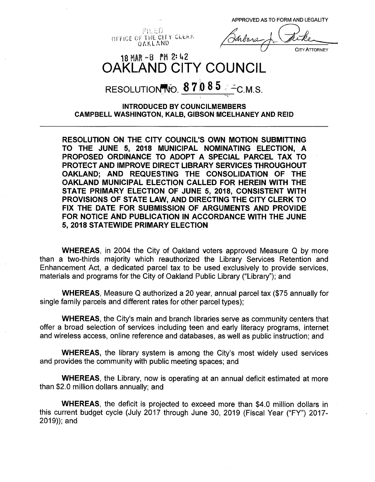APPROVED AS TO FORM AND LEGALITY

OFFICE OF THE CITY CLEAR OAKLAND

**CITY ATTORNEY** 

## $18$  MAR  $-8$  PM 2:42 OAKLAND CITY COUNCIL

# RESOLUTION FO.  $8\,7\,0\,8\,5$  /  $\sim$  C.M.S.

#### **INTRODUCED BY COUNCILMEMBERS CAMPBELL WASHINGTON, KALB, GIBSON MCELHANEY AND REID**

'•» t'

**RESOLUTION ON THE CITY COUNCIL'S OWN MOTION SUBMITTING TO THE JUNE 5, 2018 MUNICIPAL NOMINATING ELECTION, A PROPOSED ORDINANCE TO ADOPT A SPECIAL PARCEL TAX TO PROTECT AND IMPROVE DIRECT LIBRARY SERVICES THROUGHOUT OAKLAND; AND REQUESTING THE CONSOLIDATION OF THE OAKLAND MUNICIPAL ELECTION CALLED FOR HEREIN WITH THE STATE PRIMARY ELECTION OF JUNE 5, 2018, CONSISTENT WITH PROVISIONS OF STATE LAW, AND DIRECTING THE CITY CLERK TO FIX THE DATE FOR SUBMISSION OF ARGUMENTS AND PROVIDE FOR NOTICE AND PUBLICATION IN ACCORDANCE WITH THE JUNE 5, 2018 STATEWIDE PRIMARY ELECTION**

**WHEREAS,** in 2004 the City of Oakland voters approved Measure Q by more than a two-thirds majority which reauthorized the Library Services Retention and Enhancement Act, a dedicated parcel tax to be used exclusively to provide services, materials and programs for the City of Oakland Public Library ("Library"); and

**WHEREAS,** Measure Q authorized a 20 year, annual parcel tax (\$75 annually for single family parcels and different rates for other parcel types);

**WHEREAS,** the City's main and branch libraries serve as community centers that offer a broad selection of services including teen and early literacy programs, internet and wireless access, online reference and databases, as well as public instruction; and

**WHEREAS,** the library system is among the City's most widely used services and provides the community with public meeting spaces; and

**WHEREAS,** the Library, now is operating at an annual deficit estimated at more than \$2.0 million dollars annually; and

**WHEREAS,** the deficit is projected to exceed more than \$4.0 million dollars in this current budget cycle (July 2017 through June 30, 2019 (Fiscal Year ("FY") 2017- 2019)); and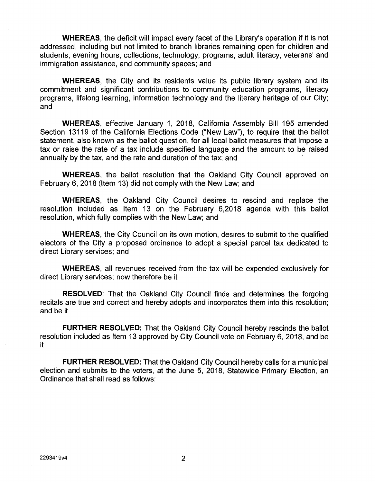**WHEREAS,** the deficit will impact every facet of the Library's operation if it is not addressed, including but not limited to branch libraries remaining open for children and students, evening hours, collections, technology, programs, adult literacy, veterans' and immigration assistance, and community spaces; and

**WHEREAS,** the City and its residents value its public library system and its commitment and significant contributions to community education programs, literacy programs, lifelong learning, information technology and the literary heritage of our City; and

**WHEREAS,** effective January 1, 2018, California Assembly Bill 195 amended Section 13119 of the California Elections Code ("New Law"), to require that the ballot statement, also known as the ballot question, for all local ballot measures that impose a tax or raise the rate of a tax include specified language and the amount to be raised annually by the tax, and the rate and duration of the tax; and

**WHEREAS,** the ballot resolution that the Oakland City Council approved on February 6, 2018 (Item 13) did not comply with the New Law; and

**WHEREAS,** the Oakland City Council desires to rescind and replace the resolution included as Item 13 on the February 6,2018 agenda with this ballot resolution, which fully complies with the New Law; and

**WHEREAS,** the City Council on its own motion, desires to submit to the qualified electors of the City a proposed ordinance to adopt a special parcel tax dedicated to direct Library services; and

**WHEREAS,** all revenues received from the tax will be expended exclusively for direct Library services; now therefore be it

**RESOLVED:** That the Oakland City Council finds and determines the forgoing recitals are true and correct and hereby adopts and incorporates them into this resolution; and be it

**FURTHER RESOLVED:** That the Oakland City Council hereby rescinds the ballot resolution included as Item 13 approved by City Council vote on February 6, 2018, and be it

**FURTHER RESOLVED:** That the Oakland City Council hereby calls for a municipal election and submits to the voters, at the June 5, 2018, Statewide Primary Election, an Ordinance that shall read as follows: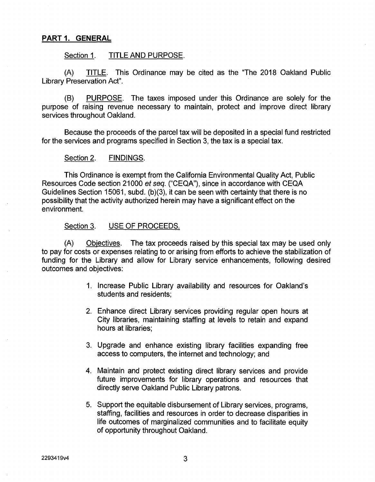#### **PART 1. GENERAL**

#### Section 1. TITLE AND PURPOSE.

(A) TITLE. This Ordinance may be cited as the "The 2018 Oakland Public Library Preservation Act".

PURPOSE. The taxes imposed under this Ordinance are solely for the purpose of raising revenue necessary to maintain, protect and improve direct library services throughout Oakland. (B)

Because the proceeds of the parcel tax will be deposited in a special fund restricted for the services and programs specified in Section 3, the tax is a special tax.

#### Section 2. FINDINGS.

This Ordinance is exempt from the California Environmental Quality Act, Public Resources Code section 21000 *et seq.* ("CEQA"), since in accordance with CEQA Guidelines Section 15061, subd. (b)(3), it can be seen with certainty that there is no possibility that the activity authorized herein may have a significant effect on the environment.

#### Section 3. USE OF PROCEEDS.

Objectives. The tax proceeds raised by this special tax may be used only to pay for costs or expenses relating to or arising from efforts to achieve the stabilization of funding for the Library and allow for Library service enhancements, following desired outcomes and objectives: (A)

- Increase Public Library availability and resources for Oakland's 1. students and residents;
- 2. Enhance direct Library services providing regular open hours at City libraries, maintaining staffing at levels to retain and expand hours at libraries;
- Upgrade and enhance existing library facilities expanding free 3. access to computers, the internet and technology; and
- 4. Maintain and protect existing direct library services and provide future improvements for library operations and resources that directly serve Oakland Public Library patrons.
- Support the equitable disbursement of Library services, programs, 5. staffing, facilities and resources in order to decrease disparities in life outcomes of marginalized communities and to facilitate equity of opportunity throughout Oakland.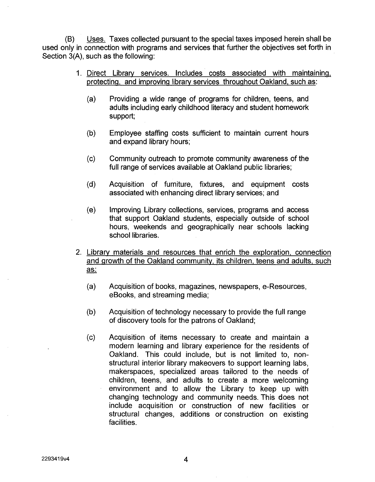(B) Uses. Taxes collected pursuant to the special taxes imposed herein shall be used only in connection with programs and services that further the objectives set forth in Section 3(A), such as the following:

- 1. Direct Library services. Includes costs associated with maintaining, protecting, and improving library services throughout Oakland, such as:
	- (a) Providing a wide range of programs for children, teens, and adults including early childhood literacy and student homework support;
	- (b) Employee staffing costs sufficient to maintain current hours and expand library hours;
	- Community outreach to promote community awareness of the full range of services available at Oakland public libraries; (c)
	- (d) Acquisition of furniture, fixtures, and equipment costs associated with enhancing direct library services; and
	- (e) Improving Library collections, services, programs and access that support Oakland students, especially outside of school hours, weekends and geographically near schools lacking school libraries.
- 2. Library materials and resources that enrich the exploration, connection and growth of the Oakland community, its children, teens and adults, such as:
	- (a) Acquisition of books, magazines, newspapers, e-Resources eBooks, and streaming media;
	- (b) Acquisition of technology necessary to provide the full range of discovery tools for the patrons of Oakland;
	- (c) Acquisition of items necessary to create and maintain a modern learning and library experience for the residents of Oakland. This could include, but is not limited to, nonstructural interior library makeovers to support learning labs, makerspaces, specialized areas tailored to the needs of children, teens, and adults to create a more welcoming environment and to allow the Library to keep up with changing technology and community needs. This does not include acquisition or construction of new facilities or structural changes, additions or construction on existing facilities.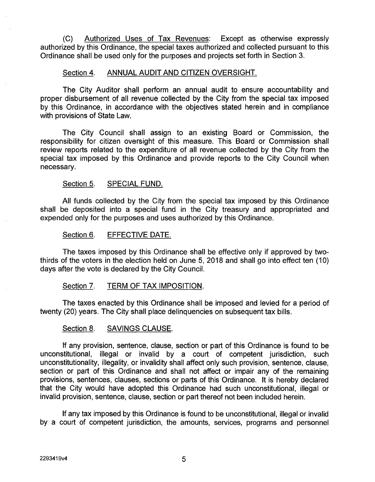(C) Authorized Uses of Tax Revenues: Except as otherwise expressly authorized by this Ordinance, the special taxes authorized and collected pursuant to this Ordinance shall be used only for the purposes and projects set forth in Section 3.

#### Section 4. ANNUAL AUDIT AND CITIZEN OVERSIGHT.

The City Auditor shall perform an annual audit to ensure accountability and proper disbursement of all revenue collected by the City from the special tax imposed by this Ordinance, in accordance with the objectives stated herein and in compliance with provisions of State Law.

The City Council shall assign to an existing Board or Commission, the responsibility for citizen oversight of this measure. This Board or Commission shall review reports related to the expenditure of all revenue collected by the City from the special tax imposed by this Ordinance and provide reports to the City Council when necessary.

#### Section 5. SPECIAL FUND.

All funds collected by the City from the special tax imposed by this Ordinance shall be deposited into a special fund in the City treasury and appropriated and expended only for the purposes and uses authorized by this Ordinance.

#### Section 6. EFFECTIVE DATE.

The taxes imposed by this Ordinance shall be effective only if approved by twothirds of the voters in the election held on June 5, 2018 and shall go into effect ten (10) days after the vote is declared by the City Council.

#### Section 7. TERM OF TAX IMPOSITION.

The taxes enacted by this Ordinance shall be imposed and levied for a period of twenty (20) years. The City shall place delinquencies on subsequent tax bills.

#### Section 8. SAVINGS CLAUSE.

If any provision, sentence, clause, section or part of this Ordinance is found to be unconstitutional, illegal or invalid by a court of competent jurisdiction, such unconstitutionality, illegality, or invalidity shall affect only such provision, sentence, clause, section or part of this Ordinance and shall not affect or impair any of the remaining provisions, sentences, clauses, sections or parts of this Ordinance. It is hereby declared that the City would have adopted this Ordinance had such unconstitutional, illegal or invalid provision, sentence, clause, section or part thereof not been included herein.

If any tax imposed by this Ordinance is found to be unconstitutional, illegal or invalid by a court of competent jurisdiction, the amounts, services, programs and personnel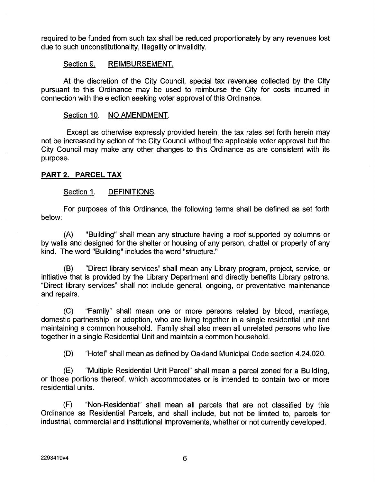required to be funded from such tax shall be reduced proportionately by any revenues lost due to such unconstitutionality, illegality or invalidity.

#### Section 9. REIMBURSEMENT.

At the discretion of the City Council, special tax revenues collected by the City pursuant to this Ordinance may be used to reimburse the City for costs incurred in connection with the election seeking voter approval of this Ordinance.

#### Section 10. NO AMENDMENT.

Except as otherwise expressly provided herein, the tax rates set forth herein may not be increased by action of the City Council without the applicable voter approval but the City Council may make any other changes to this Ordinance as are consistent with its purpose.

#### **PART 2. PARCEL TAX**

#### Section 1. DEFINITIONS.

For purposes of this Ordinance, the following terms shall be defined as set forth below:

"Building" shall mean any structure having a roof supported by columns or by walls and designed for the shelter or housing of any person, chattel or property of any kind. The word "Building" includes the word "structure." (A)

"Direct library services" shall mean any Library program, project, service, or initiative that is provided by the Library Department and directly benefits Library patrons. "Direct library services" shall not include general, ongoing, or preventative maintenance and repairs. (B)

(C) "Family" shall mean one or more persons related by blood, marriage, domestic partnership, or adoption, who are living together in a single residential unit and maintaining a common household. Family shall also mean all unrelated persons who live together in a single Residential Unit and maintain a common household.

(D) "Hotel" shall mean as defined by Oakland Municipal Code section 4.24.020.

"Multiple Residential Unit Parcel" shall mean a parcel zoned for a Building, or those portions thereof, which accommodates or is intended to contain two or more residential units. (E)

(F) "Non-Residential" shall mean all parcels that are not classified by this Ordinance as Residential Parcels, and shall include, but not be limited to, parcels for industrial, commercial and institutional improvements, whether or not currently developed.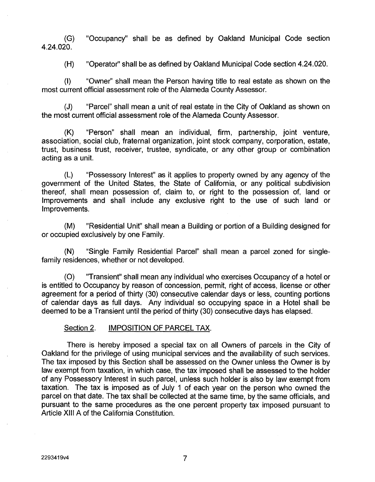(G) "Occupancy" shall be as defined by Oakland Municipal Code section 4.24.020.

(H) "Operator" shall be as defined by Oakland Municipal Code section 4.24.020.

(I) "Owner" shall mean the Person having title to real estate as shown on the most current official assessment role of the Alameda County Assessor.

(J) "Parcel" shall mean a unit of real estate in the City of Oakland as shown on the most current official assessment role of the Alameda County Assessor.

(K) "Person" shall mean an individual, firm, partnership, joint venture, association, social club, fraternal organization, joint stock company, corporation, estate, trust, business trust, receiver, trustee, syndicate, or any other group or combination acting as a unit.

(L) "Possessory Interest" as it applies to property owned by any agency of the government of the United States, the State of California, or any political subdivision thereof, shall mean possession of, claim to, or right to the possession of, land or Improvements and shall include any exclusive right to the use of such land or Improvements.

"Residential Unit" shall mean a Building or portion of a Building designed for or occupied exclusively by one Family. (M)

(N) "Single Family Residential Parcel" shall mean a parcel zoned for singlefamily residences, whether or not developed.

"Transient" shall mean any individual who exercises Occupancy of a hotel or is entitled to Occupancy by reason of concession, permit, right of access, license or other agreement for a period of thirty (30) consecutive calendar days or less, counting portions of calendar days as full days. Any individual so occupying space in a Hotel shall be deemed to be a Transient until the period of thirty (30) consecutive days has elapsed. (O)

#### Section 2. **IMPOSITION OF PARCEL TAX.**

There is hereby imposed a special tax on all Owners of parcels in the City of Oakland for the privilege of using municipal services and the availability of such services. The tax imposed by this Section shall be assessed on the Owner unless the Owner is by law exempt from taxation, in which case, the tax imposed shall be assessed to the holder of any Possessory Interest in such parcel, unless such holder is also by law exempt from taxation. The tax is imposed as of July <sup>1</sup> of each year on the person who owned the parcel on that date. The tax shall be collected at the same time, by the same officials, and pursuant to the same procedures as the one percent property tax imposed pursuant to Article XIII A of the California Constitution.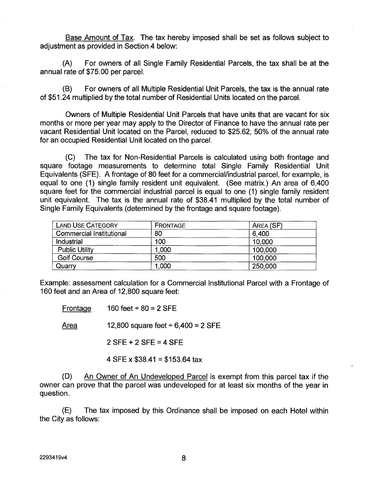Base Amount of Tax. The tax hereby imposed shall be set as follows subject to adjustment as provided in Section 4 below:

(A) For owners of all Single Family Residential Parcels, the tax shall be at the annual rate of \$75.00 per parcel.

(B) For owners of all Multiple Residential Unit Parcels, the tax is the annual rate of \$51.24 multiplied by the total number of Residential Units located on the parcel.

Owners of Multiple Residential Unit Parcels that have units that are vacant for six months or more per year may apply to the Director of Finance to have the annual rate per vacant Residential Unit located on the Parcel, reduced to \$25.62, 50% of the annual rate for an occupied Residential Unit located on the parcel.

(C) The tax for Non-Residential Parcels is calculated using both frontage and square footage measurements to determine total Single Family Residential Unit Equivalents (SFE). A frontage of 80 feet for a commercial/industrial parcel, for example, is equal to one (1) single family resident unit equivalent. (See matrix.) An area of 6,400 square feet for the commercial industrial parcel is equal to one (1) single family resident unit equivalent. The tax is the annual rate of \$38.41 multiplied by the total number of Single Family Equivalents (determined by the frontage and square footage).

| <b>LAND USE CATEGORY</b> | FRONTAGE | AREA (SF) |
|--------------------------|----------|-----------|
| Commercial Institutional | 80       | 6,400     |
| Industrial               | 100      | 10,000    |
| <b>Public Utility</b>    | 1,000    | 100,000   |
| <b>Golf Course</b>       | 500      | 100,000   |
| Quarry                   | 1,000    | 250,000   |

Example: assessment calculation for a Commercial Institutional Parcel with a Frontage of 160 feet and an Area of 12,800 square feet:

Frontage  $160$  feet  $\div 80 = 2$  SFE

Area 12,800 square feet  $\div$  6,400 = 2 SFE

2 SFE+ 2 SFE = 4 SFE

4 SFE x  $$38.41 = $153.64$  tax

(D) An Owner of An Undeveloped Parcel is exempt from this parcel tax if the owner can prove that the parcel was undeveloped for at least six months of the year in question.

(E) The tax imposed by this Ordinance shall be imposed on each Hotel within the City as follows: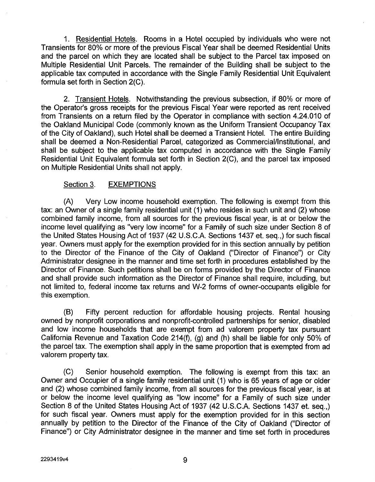1. Residential Hotels. Rooms in a Hotel occupied by individuals who were not Transients for 80% or more of the previous Fiscal Year shall be deemed Residential Units and the parcel on which they are located shall be subject to the Parcel tax imposed on Multiple Residential Unit Parcels. The remainder of the Building shall be subject to the applicable tax computed in accordance with the Single Family Residential Unit Equivalent formula set forth in Section 2(C).

2. Transient Hotels. Notwithstanding the previous subsection, if 80% or more of the Operator's gross receipts for the previous Fiscal Year were reported as rent received from Transients on a return filed by the Operator in compliance with section 4.24.010 of the Oakland Municipal Code (commonly known as the Uniform Transient Occupancy Tax of the City of Oakland), such Hotel shall be deemed a Transient Hotel. The entire Building shall be deemed a Non-Residential Parcel, categorized as Commercial/Institutional, and shall be subject to the applicable tax computed in accordance with the Single Family Residential Unit Equivalent formula set forth in Section 2(C), and the parcel tax imposed on Multiple Residential Units shall not apply.

#### Section 3. **EXEMPTIONS**

Very Low income household exemption. The following is exempt from this tax: an Owner of a single family residential unit (1) who resides in such unit and (2) whose combined family income, from all sources for the previous fiscal year, is at or below the income level qualifying as "very low income" for a Family of such size under Section 8 of the United States Housing Act of 1937 (42 U.S.C.A. Sections 1437 et. seq.,) for such fiscal year. Owners must apply for the exemption provided for in this section annually by petition to the Director of the Finance of the City of Oakland ("Director of Finance") or City Administrator designee in the manner and time set forth in procedures established by the Director of Finance. Such petitions shall be on forms provided by the Director of Finance and shall provide such information as the Director of Finance shall require, including, but not limited to, federal income tax returns and W-2 forms of owner-occupants eligible for this exemption. (A)

(B) Fifty percent reduction for affordable housing projects. Rental housing owned by nonprofit corporations and nonprofit-controlled partnerships for senior, disabled and low income households that are exempt from ad valorem property tax pursuant California Revenue and Taxation Code 214(f), (g) and (h) shall be liable for only 50% of the parcel tax. The exemption shall apply in the same proportion that is exempted from ad valorem property tax.

(C) Senior household exemption. The following is exempt from this tax: an Owner and Occupier of a single family residential unit (1) who is 65 years of age or older and (2) whose combined family income, from all sources for the previous fiscal year, is at or below the income level qualifying as "low income" for a Family of such size under Section 8 of the United States Housing Act of 1937 (42 U.S.C.A. Sections 1437 et. seq.,) for such fiscal year. Owners must apply for the exemption provided for in this section annually by petition to the Director of the Finance of the City of Oakland ("Director of Finance") or City Administrator designee in the manner and time set forth in procedures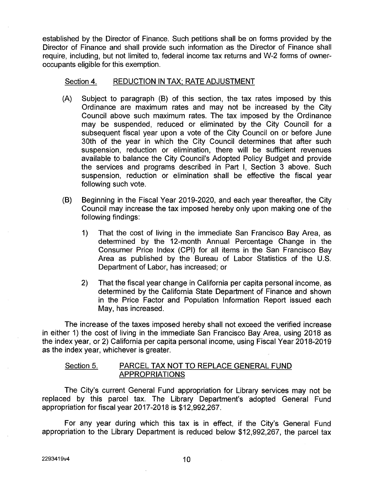established by the Director of Finance. Such petitions shall be on forms provided by the Director of Finance and shall provide such information as the Director of Finance shall require, including, but not limited to, federal income tax returns and W-2 forms of owneroccupants eligible for this exemption.

#### Section 4. REDUCTION IN TAX: RATE ADJUSTMENT

- (A) Subject to paragraph (B) of this section, the tax rates imposed by this Ordinance are maximum rates and may not be increased by the City Council above such maximum rates. The tax imposed by the Ordinance may be suspended, reduced or eliminated by the City Council for a subsequent fiscal year upon a vote of the City Council on or before June 30th of the year in which the City Council determines that after such suspension, reduction or elimination, there will be sufficient revenues available to balance the City Council's Adopted Policy Budget and provide the services and programs described in Part I, Section 3 above. Such suspension, reduction or elimination shall be effective the fiscal year following such vote.
- (B) Beginning in the Fiscal Year 2019-2020, and each year thereafter, the City Council may increase the tax imposed hereby only upon making one of the following findings:
	- That the cost of living in the immediate San Francisco Bay Area, as determined by the 12-month Annual Percentage Change in the Consumer Price Index (CPI) for all items in the San Francisco Bay Area as published by the Bureau of Labor Statistics of the U.S. Department of Labor, has increased; or 1)
	- That the fiscal year change in California per capita personal income, as determined by the California State Department of Finance and shown in the Price Factor and Population Information Report issued each May, has increased. 2)

The increase of the taxes imposed hereby shall not exceed the verified increase in either 1) the cost of living in the immediate San Francisco Bay Area, using 2018 as the index year, or 2) California per capita personal income, using Fiscal Year 2018-2019 as the index year, whichever is greater.

#### Section 5. PARCEL TAX NOT TO REPLACE GENERAL FUND APPROPRIATIONS

The City's current General Fund appropriation for Library services may not be replaced by this parcel tax. The Library Department's adopted General Fund appropriation for fiscal year 2017-2018 is \$12,992,267.

For any year during which this tax is in effect, if the City's General Fund appropriation to the Library Department is reduced below \$12,992,267, the parcel tax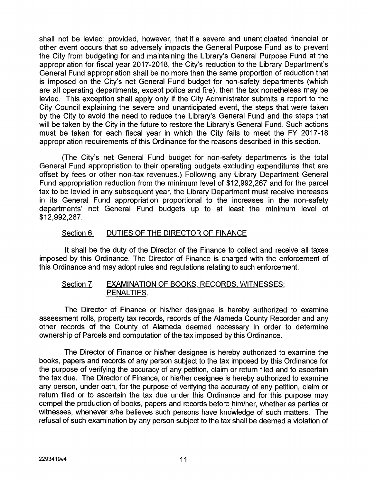shall not be levied; provided, however, that if a severe and unanticipated financial or other event occurs that so adversely impacts the General Purpose Fund as to prevent the City from budgeting for and maintaining the Library's General Purpose Fund at the appropriation for fiscal year 2017-2018, the City's reduction to the Library Department's General Fund appropriation shall be no more than the same proportion of reduction that is imposed on the City's net General Fund budget for non-safety departments (which are all operating departments, except police and fire), then the tax nonetheless may be levied. This exception shall apply only if the City Administrator submits a report to the City Council explaining the severe and unanticipated event, the steps that were taken by the City to avoid the need to reduce the Library's General Fund and the steps that will be taken by the City in the future to restore the Library's General Fund. Such actions must be taken for each fiscal year in which the City fails to meet the FY 2017-18 appropriation requirements of this Ordinance for the reasons described in this section.

(The City's net General Fund budget for non-safety departments is the total General Fund appropriation to their operating budgets excluding expenditures that are offset by fees or other non-tax revenues.) Following any Library Department General Fund appropriation reduction from the minimum level of \$12,992,267 and for the parcel tax to be levied in any subsequent year, the Library Department must receive increases in its General Fund appropriation proportional to the increases in the non-safety departments' net General Fund budgets up to at least the minimum level of \$12,992,267.

### Section 6. DUTIES OF THE DIRECTOR OF FINANCE

It shall be the duty of the Director of the Finance to collect and receive all taxes imposed by this Ordinance. The Director of Finance is charged with the enforcement of this Ordinance and may adopt rules and regulations relating to such enforcement.

### Section 7. EXAMINATION OF BOOKS, RECORDS, WITNESSES: PENALTIES.

The Director of Finance or his/her designee is hereby authorized to examine assessment rolls, property tax records, records of the Alameda County Recorder and any other records of the County of Alameda deemed necessary in order to determine ownership of Parcels and computation of the tax imposed by this Ordinance.

The Director of Finance or his/her designee is hereby authorized to examine the books, papers and records of any person subject to the tax imposed by this Ordinance for the purpose of verifying the accuracy of any petition, claim or return filed and to ascertain the tax due. The Director of Finance, or his/her designee is hereby authorized to examine any person, under oath, for the purpose of verifying the accuracy of any petition, claim or return filed or to ascertain the tax due under this Ordinance and for this purpose may compel the production of books, papers and records before him/her, whether as parties or witnesses, whenever s/he believes such persons have knowledge of such matters. The refusal of such examination by any person subject to the tax shall be deemed a violation of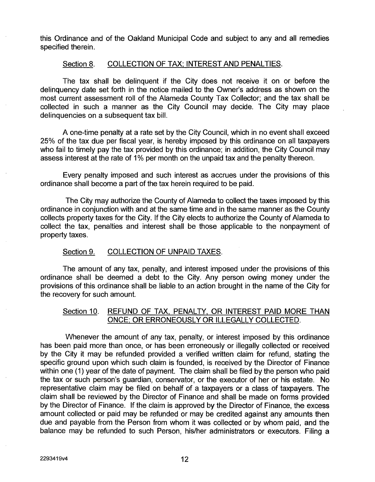this Ordinance and of the Oakland Municipal Code and subject to any and all remedies specified therein.

#### Section 8. COLLECTION OF TAX: INTEREST AND PENALTIES.

The tax shall be delinquent if the City does not receive it on or before the delinquency date set forth in the notice mailed to the Owner's address as shown on the most current assessment roll of the Alameda County Tax Collector; and the tax shall be collected in such a manner as the City Council may decide. The City may place delinquencies on a subsequent tax bill.

A one-time penalty at a rate set by the City Council, which in no event shall exceed 25% of the tax due per fiscal year, is hereby imposed by this ordinance on all taxpayers who fail to timely pay the tax provided by this ordinance; in addition, the City Council may assess interest at the rate of 1% per month on the unpaid tax and the penalty thereon.

Every penalty imposed and such interest as accrues under the provisions of this ordinance shall become a part of the tax herein required to be paid.

The City may authorize the County of Alameda to collect the taxes imposed by this ordinance in conjunction with and at the same time and in the same manner as the County collects property taxes for the City. If the City elects to authorize the County of Alameda to collect the tax, penalties and interest shall be those applicable to the nonpayment of property taxes.

#### Section 9. COLLECTION OF UNPAID TAXES.

The amount of any tax, penalty, and interest imposed under the provisions of this ordinance shall be deemed a debt to the City. Any person owing money under the provisions of this ordinance shall be liable to an action brought in the name of the City for the recovery for such amount.

### Section 10, REFUND OF TAX. PENALTY. OR INTEREST PAID MORE THAN ONCE; OR ERRONEOUSLY OR ILLEGALLY COLLECTED.

Whenever the amount of any tax, penalty, or interest imposed by this ordinance has been paid more than once, or has been erroneously or illegally collected or received by the City it may be refunded provided a verified written claim for refund, stating the specific ground upon which such claim is founded, is received by the Director of Finance within one (1) year of the date of payment. The claim shall be filed by the person who paid the tax or such person's guardian, conservator, or the executor of her or his estate. No representative claim may be filed on behalf of a taxpayers or a class of taxpayers. The claim shall be reviewed by the Director of Finance and shall be made on forms provided by the Director of Finance. If the claim is approved by the Director of Finance, the excess amount collected or paid may be refunded or may be credited against any amounts then due and payable from the Person from whom it was collected or by whom paid, and the balance may be refunded to such Person, his/her administrators or executors. Filing a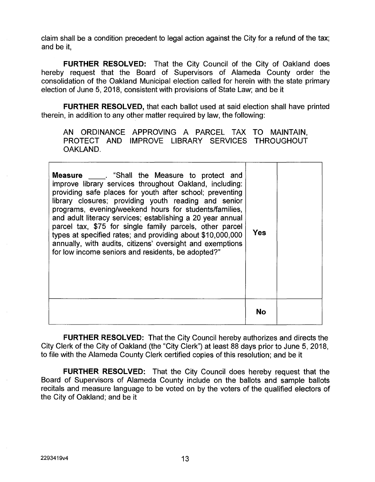claim shall be a condition precedent to legal action against the City for a refund of the tax; and be it,

**FURTHER RESOLVED:** That the City Council of the City of Oakland does hereby request that the Board of Supervisors of Alameda County order the consolidation of the Oakland Municipal election called for herein with the state primary election of June 5, 2018, consistent with provisions of State Law; and be it

**FURTHER RESOLVED,** that each ballot used at said election shall have printed therein, in addition to any other matter required by law, the following:

AN ORDINANCE APPROVING A PARCEL TAX TO MAINTAIN, PROTECT AND IMPROVE LIBRARY SERVICES THROUGHOUT OAKLAND.

| <b>Measure</b> . "Shall the Measure to protect and<br>improve library services throughout Oakland, including:<br>providing safe places for youth after school; preventing<br>library closures; providing youth reading and senior<br>programs, evening/weekend hours for students/families,<br>and adult literacy services; establishing a 20 year annual<br>parcel tax, \$75 for single family parcels, other parcel<br>types at specified rates; and providing about \$10,000,000<br>annually, with audits, citizens' oversight and exemptions<br>for low income seniors and residents, be adopted?" | <b>Yes</b> |  |
|--------------------------------------------------------------------------------------------------------------------------------------------------------------------------------------------------------------------------------------------------------------------------------------------------------------------------------------------------------------------------------------------------------------------------------------------------------------------------------------------------------------------------------------------------------------------------------------------------------|------------|--|
|                                                                                                                                                                                                                                                                                                                                                                                                                                                                                                                                                                                                        | No         |  |

**FURTHER RESOLVED:** That the City Council hereby authorizes and directs the City Clerk of the City of Oakland (the "City Clerk") at least 88 days prior to June 5, 2018, to file with the Alameda County Clerk certified copies of this resolution; and be it

**FURTHER RESOLVED:** That the City Council does hereby request that the Board of Supervisors of Alameda County include on the ballots and sample ballots recitals and measure language to be voted on by the voters of the qualified electors of the City of Oakland; and be it